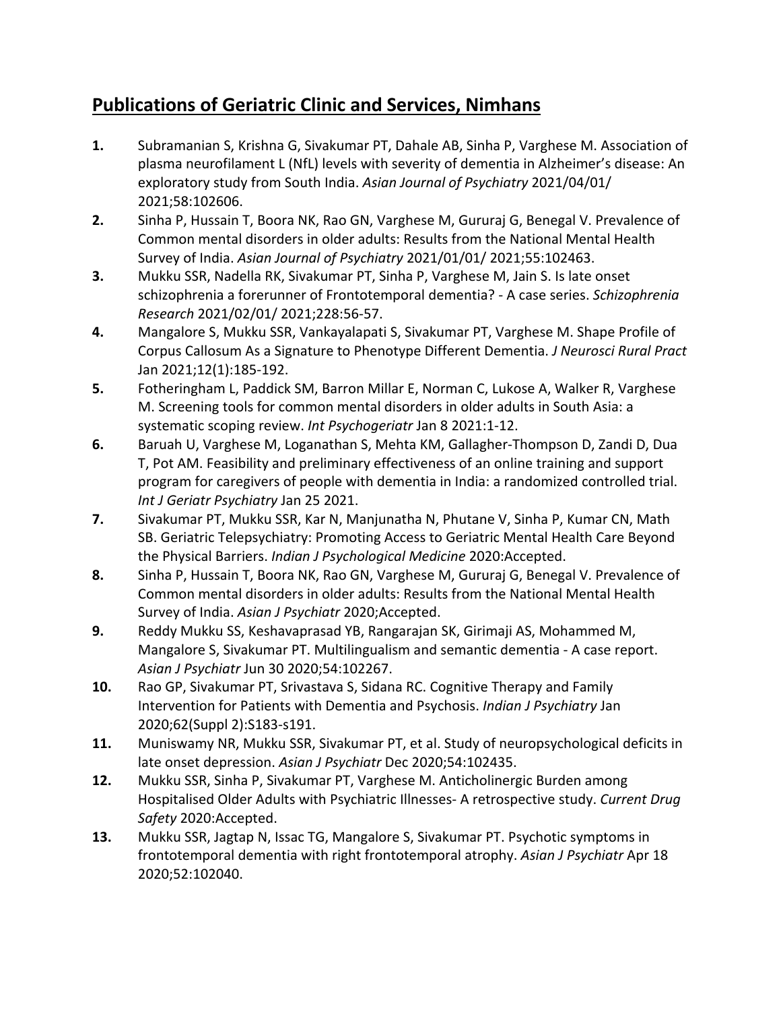## **Publications of Geriatric Clinic and Services, Nimhans**

- **1.** Subramanian S, Krishna G, Sivakumar PT, Dahale AB, Sinha P, Varghese M. Association of plasma neurofilament L (NfL) levels with severity of dementia in Alzheimer's disease: An exploratory study from South India. *Asian Journal of Psychiatry* 2021/04/01/ 2021;58:102606.
- **2.** Sinha P, Hussain T, Boora NK, Rao GN, Varghese M, Gururaj G, Benegal V. Prevalence of Common mental disorders in older adults: Results from the National Mental Health Survey of India. *Asian Journal of Psychiatry* 2021/01/01/ 2021;55:102463.
- **3.** Mukku SSR, Nadella RK, Sivakumar PT, Sinha P, Varghese M, Jain S. Is late onset schizophrenia a forerunner of Frontotemporal dementia? - A case series. *Schizophrenia Research* 2021/02/01/ 2021;228:56-57.
- **4.** Mangalore S, Mukku SSR, Vankayalapati S, Sivakumar PT, Varghese M. Shape Profile of Corpus Callosum As a Signature to Phenotype Different Dementia. *J Neurosci Rural Pract*  Jan 2021;12(1):185-192.
- **5.** Fotheringham L, Paddick SM, Barron Millar E, Norman C, Lukose A, Walker R, Varghese M. Screening tools for common mental disorders in older adults in South Asia: a systematic scoping review. *Int Psychogeriatr* Jan 8 2021:1-12.
- **6.** Baruah U, Varghese M, Loganathan S, Mehta KM, Gallagher-Thompson D, Zandi D, Dua T, Pot AM. Feasibility and preliminary effectiveness of an online training and support program for caregivers of people with dementia in India: a randomized controlled trial. *Int J Geriatr Psychiatry* Jan 25 2021.
- **7.** Sivakumar PT, Mukku SSR, Kar N, Manjunatha N, Phutane V, Sinha P, Kumar CN, Math SB. Geriatric Telepsychiatry: Promoting Access to Geriatric Mental Health Care Beyond the Physical Barriers. *Indian J Psychological Medicine* 2020:Accepted.
- **8.** Sinha P, Hussain T, Boora NK, Rao GN, Varghese M, Gururaj G, Benegal V. Prevalence of Common mental disorders in older adults: Results from the National Mental Health Survey of India. *Asian J Psychiatr* 2020;Accepted.
- **9.** Reddy Mukku SS, Keshavaprasad YB, Rangarajan SK, Girimaji AS, Mohammed M, Mangalore S, Sivakumar PT. Multilingualism and semantic dementia - A case report. *Asian J Psychiatr* Jun 30 2020;54:102267.
- **10.** Rao GP, Sivakumar PT, Srivastava S, Sidana RC. Cognitive Therapy and Family Intervention for Patients with Dementia and Psychosis. *Indian J Psychiatry* Jan 2020;62(Suppl 2):S183-s191.
- **11.** Muniswamy NR, Mukku SSR, Sivakumar PT, et al. Study of neuropsychological deficits in late onset depression. *Asian J Psychiatr* Dec 2020;54:102435.
- **12.** Mukku SSR, Sinha P, Sivakumar PT, Varghese M. Anticholinergic Burden among Hospitalised Older Adults with Psychiatric Illnesses- A retrospective study. *Current Drug Safety* 2020:Accepted.
- **13.** Mukku SSR, Jagtap N, Issac TG, Mangalore S, Sivakumar PT. Psychotic symptoms in frontotemporal dementia with right frontotemporal atrophy. *Asian J Psychiatr* Apr 18 2020;52:102040.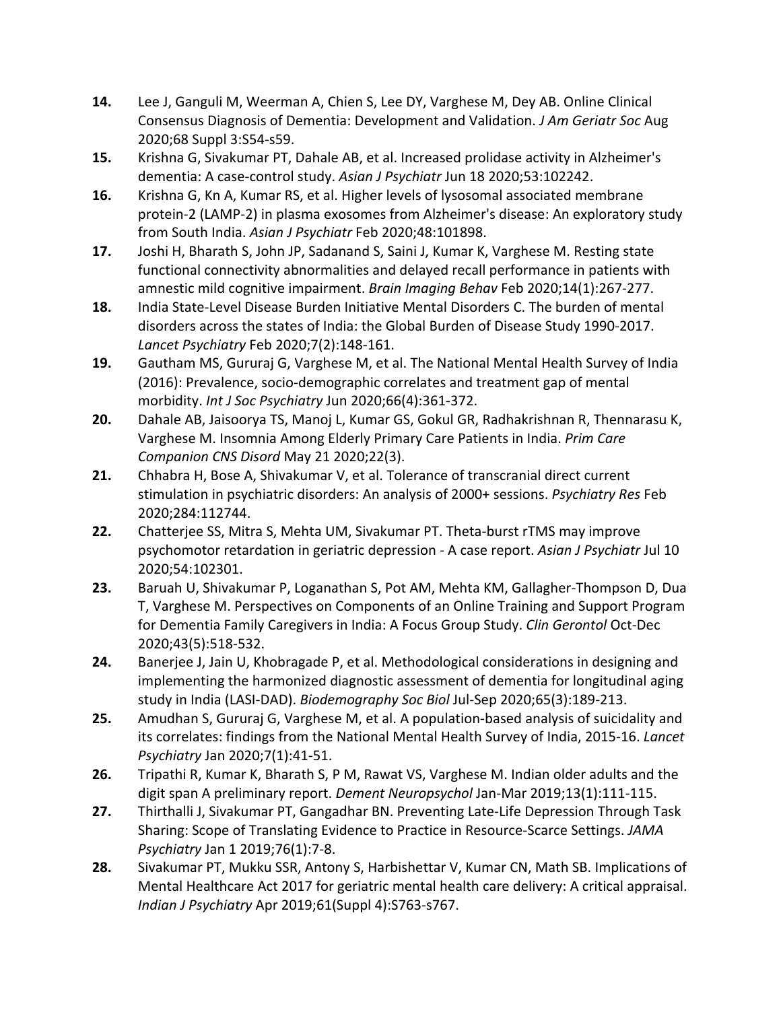- **14.** Lee J, Ganguli M, Weerman A, Chien S, Lee DY, Varghese M, Dey AB. Online Clinical Consensus Diagnosis of Dementia: Development and Validation. *J Am Geriatr Soc* Aug 2020;68 Suppl 3:S54-s59.
- **15.** Krishna G, Sivakumar PT, Dahale AB, et al. Increased prolidase activity in Alzheimer's dementia: A case-control study. *Asian J Psychiatr* Jun 18 2020;53:102242.
- **16.** Krishna G, Kn A, Kumar RS, et al. Higher levels of lysosomal associated membrane protein-2 (LAMP-2) in plasma exosomes from Alzheimer's disease: An exploratory study from South India. *Asian J Psychiatr* Feb 2020;48:101898.
- **17.** Joshi H, Bharath S, John JP, Sadanand S, Saini J, Kumar K, Varghese M. Resting state functional connectivity abnormalities and delayed recall performance in patients with amnestic mild cognitive impairment. *Brain Imaging Behav* Feb 2020;14(1):267-277.
- **18.** India State-Level Disease Burden Initiative Mental Disorders C. The burden of mental disorders across the states of India: the Global Burden of Disease Study 1990-2017. *Lancet Psychiatry* Feb 2020;7(2):148-161.
- **19.** Gautham MS, Gururaj G, Varghese M, et al. The National Mental Health Survey of India (2016): Prevalence, socio-demographic correlates and treatment gap of mental morbidity. *Int J Soc Psychiatry* Jun 2020;66(4):361-372.
- **20.** Dahale AB, Jaisoorya TS, Manoj L, Kumar GS, Gokul GR, Radhakrishnan R, Thennarasu K, Varghese M. Insomnia Among Elderly Primary Care Patients in India. *Prim Care Companion CNS Disord* May 21 2020;22(3).
- **21.** Chhabra H, Bose A, Shivakumar V, et al. Tolerance of transcranial direct current stimulation in psychiatric disorders: An analysis of 2000+ sessions. *Psychiatry Res* Feb 2020;284:112744.
- **22.** Chatterjee SS, Mitra S, Mehta UM, Sivakumar PT. Theta-burst rTMS may improve psychomotor retardation in geriatric depression - A case report. *Asian J Psychiatr* Jul 10 2020;54:102301.
- **23.** Baruah U, Shivakumar P, Loganathan S, Pot AM, Mehta KM, Gallagher-Thompson D, Dua T, Varghese M. Perspectives on Components of an Online Training and Support Program for Dementia Family Caregivers in India: A Focus Group Study. *Clin Gerontol* Oct-Dec 2020;43(5):518-532.
- **24.** Banerjee J, Jain U, Khobragade P, et al. Methodological considerations in designing and implementing the harmonized diagnostic assessment of dementia for longitudinal aging study in India (LASI-DAD). *Biodemography Soc Biol* Jul-Sep 2020;65(3):189-213.
- **25.** Amudhan S, Gururaj G, Varghese M, et al. A population-based analysis of suicidality and its correlates: findings from the National Mental Health Survey of India, 2015-16. *Lancet Psychiatry* Jan 2020;7(1):41-51.
- **26.** Tripathi R, Kumar K, Bharath S, P M, Rawat VS, Varghese M. Indian older adults and the digit span A preliminary report. *Dement Neuropsychol* Jan-Mar 2019;13(1):111-115.
- **27.** Thirthalli J, Sivakumar PT, Gangadhar BN. Preventing Late-Life Depression Through Task Sharing: Scope of Translating Evidence to Practice in Resource-Scarce Settings. *JAMA Psychiatry* Jan 1 2019;76(1):7-8.
- **28.** Sivakumar PT, Mukku SSR, Antony S, Harbishettar V, Kumar CN, Math SB. Implications of Mental Healthcare Act 2017 for geriatric mental health care delivery: A critical appraisal. *Indian J Psychiatry* Apr 2019;61(Suppl 4):S763-s767.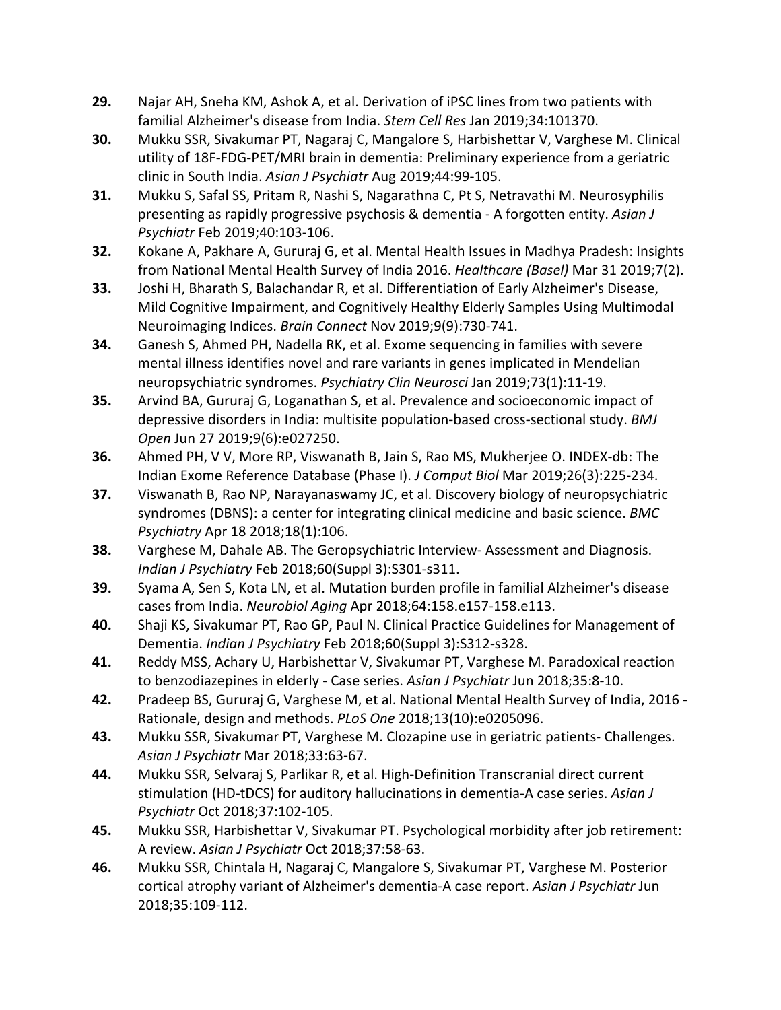- **29.** Najar AH, Sneha KM, Ashok A, et al. Derivation of iPSC lines from two patients with familial Alzheimer's disease from India. *Stem Cell Res* Jan 2019;34:101370.
- **30.** Mukku SSR, Sivakumar PT, Nagaraj C, Mangalore S, Harbishettar V, Varghese M. Clinical utility of 18F-FDG-PET/MRI brain in dementia: Preliminary experience from a geriatric clinic in South India. *Asian J Psychiatr* Aug 2019;44:99-105.
- **31.** Mukku S, Safal SS, Pritam R, Nashi S, Nagarathna C, Pt S, Netravathi M. Neurosyphilis presenting as rapidly progressive psychosis & dementia - A forgotten entity. *Asian J Psychiatr* Feb 2019;40:103-106.
- **32.** Kokane A, Pakhare A, Gururaj G, et al. Mental Health Issues in Madhya Pradesh: Insights from National Mental Health Survey of India 2016. *Healthcare (Basel)* Mar 31 2019;7(2).
- **33.** Joshi H, Bharath S, Balachandar R, et al. Differentiation of Early Alzheimer's Disease, Mild Cognitive Impairment, and Cognitively Healthy Elderly Samples Using Multimodal Neuroimaging Indices. *Brain Connect* Nov 2019;9(9):730-741.
- **34.** Ganesh S, Ahmed PH, Nadella RK, et al. Exome sequencing in families with severe mental illness identifies novel and rare variants in genes implicated in Mendelian neuropsychiatric syndromes. *Psychiatry Clin Neurosci* Jan 2019;73(1):11-19.
- **35.** Arvind BA, Gururaj G, Loganathan S, et al. Prevalence and socioeconomic impact of depressive disorders in India: multisite population-based cross-sectional study. *BMJ Open* Jun 27 2019;9(6):e027250.
- **36.** Ahmed PH, V V, More RP, Viswanath B, Jain S, Rao MS, Mukherjee O. INDEX-db: The Indian Exome Reference Database (Phase I). *J Comput Biol* Mar 2019;26(3):225-234.
- **37.** Viswanath B, Rao NP, Narayanaswamy JC, et al. Discovery biology of neuropsychiatric syndromes (DBNS): a center for integrating clinical medicine and basic science. *BMC Psychiatry* Apr 18 2018;18(1):106.
- **38.** Varghese M, Dahale AB. The Geropsychiatric Interview- Assessment and Diagnosis. *Indian J Psychiatry* Feb 2018;60(Suppl 3):S301-s311.
- **39.** Syama A, Sen S, Kota LN, et al. Mutation burden profile in familial Alzheimer's disease cases from India. *Neurobiol Aging* Apr 2018;64:158.e157-158.e113.
- **40.** Shaji KS, Sivakumar PT, Rao GP, Paul N. Clinical Practice Guidelines for Management of Dementia. *Indian J Psychiatry* Feb 2018;60(Suppl 3):S312-s328.
- **41.** Reddy MSS, Achary U, Harbishettar V, Sivakumar PT, Varghese M. Paradoxical reaction to benzodiazepines in elderly - Case series. *Asian J Psychiatr* Jun 2018;35:8-10.
- **42.** Pradeep BS, Gururaj G, Varghese M, et al. National Mental Health Survey of India, 2016 Rationale, design and methods. *PLoS One* 2018;13(10):e0205096.
- **43.** Mukku SSR, Sivakumar PT, Varghese M. Clozapine use in geriatric patients- Challenges. *Asian J Psychiatr* Mar 2018;33:63-67.
- **44.** Mukku SSR, Selvaraj S, Parlikar R, et al. High-Definition Transcranial direct current stimulation (HD-tDCS) for auditory hallucinations in dementia-A case series. *Asian J Psychiatr* Oct 2018;37:102-105.
- **45.** Mukku SSR, Harbishettar V, Sivakumar PT. Psychological morbidity after job retirement: A review. *Asian J Psychiatr* Oct 2018;37:58-63.
- **46.** Mukku SSR, Chintala H, Nagaraj C, Mangalore S, Sivakumar PT, Varghese M. Posterior cortical atrophy variant of Alzheimer's dementia-A case report. *Asian J Psychiatr* Jun 2018;35:109-112.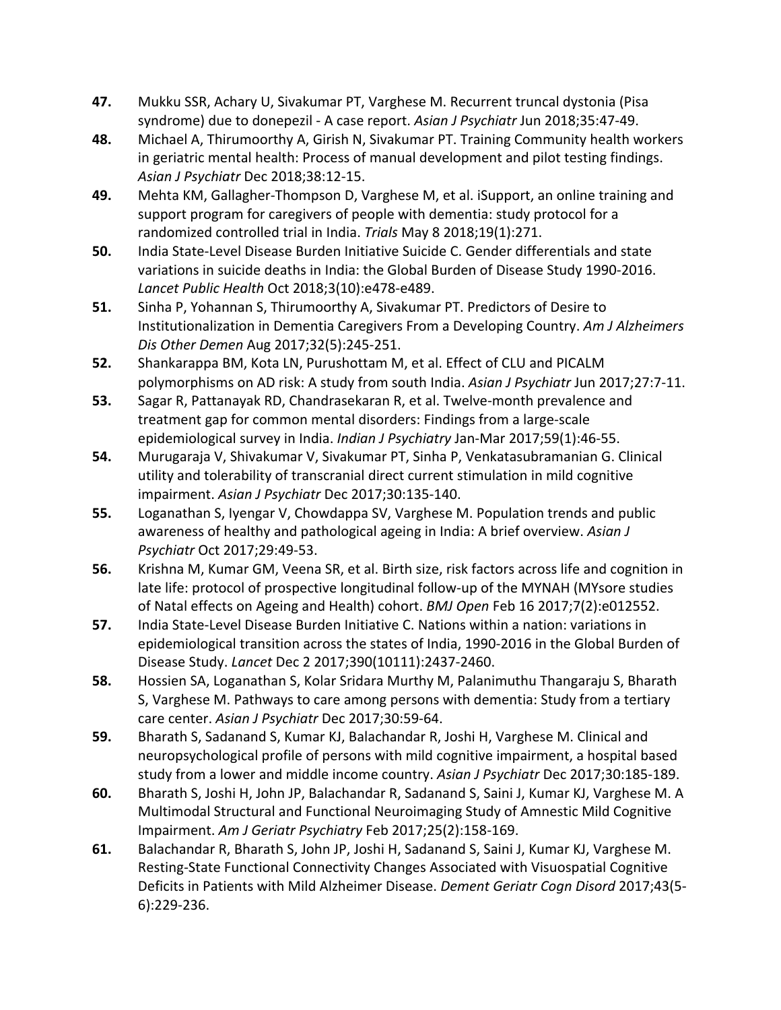- **47.** Mukku SSR, Achary U, Sivakumar PT, Varghese M. Recurrent truncal dystonia (Pisa syndrome) due to donepezil - A case report. *Asian J Psychiatr* Jun 2018;35:47-49.
- **48.** Michael A, Thirumoorthy A, Girish N, Sivakumar PT. Training Community health workers in geriatric mental health: Process of manual development and pilot testing findings. *Asian J Psychiatr* Dec 2018;38:12-15.
- **49.** Mehta KM, Gallagher-Thompson D, Varghese M, et al. iSupport, an online training and support program for caregivers of people with dementia: study protocol for a randomized controlled trial in India. *Trials* May 8 2018;19(1):271.
- **50.** India State-Level Disease Burden Initiative Suicide C. Gender differentials and state variations in suicide deaths in India: the Global Burden of Disease Study 1990-2016. *Lancet Public Health* Oct 2018;3(10):e478-e489.
- **51.** Sinha P, Yohannan S, Thirumoorthy A, Sivakumar PT. Predictors of Desire to Institutionalization in Dementia Caregivers From a Developing Country. *Am J Alzheimers Dis Other Demen* Aug 2017;32(5):245-251.
- **52.** Shankarappa BM, Kota LN, Purushottam M, et al. Effect of CLU and PICALM polymorphisms on AD risk: A study from south India. *Asian J Psychiatr* Jun 2017;27:7-11.
- **53.** Sagar R, Pattanayak RD, Chandrasekaran R, et al. Twelve-month prevalence and treatment gap for common mental disorders: Findings from a large-scale epidemiological survey in India. *Indian J Psychiatry* Jan-Mar 2017;59(1):46-55.
- **54.** Murugaraja V, Shivakumar V, Sivakumar PT, Sinha P, Venkatasubramanian G. Clinical utility and tolerability of transcranial direct current stimulation in mild cognitive impairment. *Asian J Psychiatr* Dec 2017;30:135-140.
- **55.** Loganathan S, Iyengar V, Chowdappa SV, Varghese M. Population trends and public awareness of healthy and pathological ageing in India: A brief overview. *Asian J Psychiatr* Oct 2017;29:49-53.
- **56.** Krishna M, Kumar GM, Veena SR, et al. Birth size, risk factors across life and cognition in late life: protocol of prospective longitudinal follow-up of the MYNAH (MYsore studies of Natal effects on Ageing and Health) cohort. *BMJ Open* Feb 16 2017;7(2):e012552.
- **57.** India State-Level Disease Burden Initiative C. Nations within a nation: variations in epidemiological transition across the states of India, 1990-2016 in the Global Burden of Disease Study. *Lancet* Dec 2 2017;390(10111):2437-2460.
- **58.** Hossien SA, Loganathan S, Kolar Sridara Murthy M, Palanimuthu Thangaraju S, Bharath S, Varghese M. Pathways to care among persons with dementia: Study from a tertiary care center. *Asian J Psychiatr* Dec 2017;30:59-64.
- **59.** Bharath S, Sadanand S, Kumar KJ, Balachandar R, Joshi H, Varghese M. Clinical and neuropsychological profile of persons with mild cognitive impairment, a hospital based study from a lower and middle income country. *Asian J Psychiatr* Dec 2017;30:185-189.
- **60.** Bharath S, Joshi H, John JP, Balachandar R, Sadanand S, Saini J, Kumar KJ, Varghese M. A Multimodal Structural and Functional Neuroimaging Study of Amnestic Mild Cognitive Impairment. *Am J Geriatr Psychiatry* Feb 2017;25(2):158-169.
- **61.** Balachandar R, Bharath S, John JP, Joshi H, Sadanand S, Saini J, Kumar KJ, Varghese M. Resting-State Functional Connectivity Changes Associated with Visuospatial Cognitive Deficits in Patients with Mild Alzheimer Disease. *Dement Geriatr Cogn Disord* 2017;43(5- 6):229-236.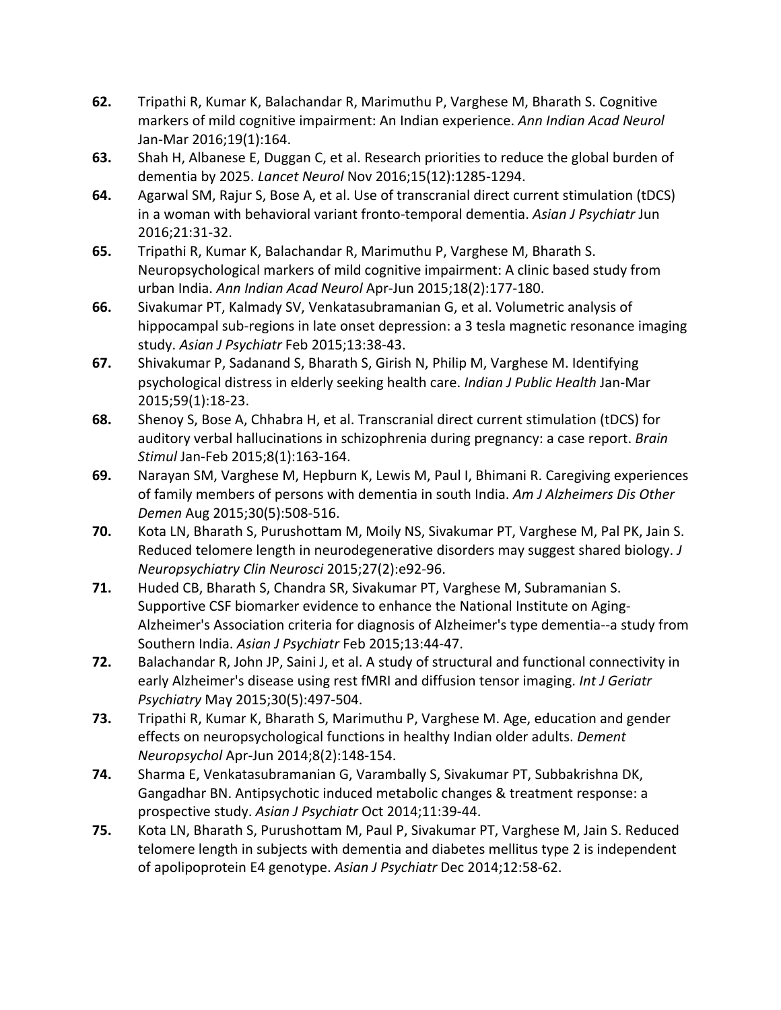- **62.** Tripathi R, Kumar K, Balachandar R, Marimuthu P, Varghese M, Bharath S. Cognitive markers of mild cognitive impairment: An Indian experience. *Ann Indian Acad Neurol*  Jan-Mar 2016;19(1):164.
- **63.** Shah H, Albanese E, Duggan C, et al. Research priorities to reduce the global burden of dementia by 2025. *Lancet Neurol* Nov 2016;15(12):1285-1294.
- **64.** Agarwal SM, Rajur S, Bose A, et al. Use of transcranial direct current stimulation (tDCS) in a woman with behavioral variant fronto-temporal dementia. *Asian J Psychiatr* Jun 2016;21:31-32.
- **65.** Tripathi R, Kumar K, Balachandar R, Marimuthu P, Varghese M, Bharath S. Neuropsychological markers of mild cognitive impairment: A clinic based study from urban India. *Ann Indian Acad Neurol* Apr-Jun 2015;18(2):177-180.
- **66.** Sivakumar PT, Kalmady SV, Venkatasubramanian G, et al. Volumetric analysis of hippocampal sub-regions in late onset depression: a 3 tesla magnetic resonance imaging study. *Asian J Psychiatr* Feb 2015;13:38-43.
- **67.** Shivakumar P, Sadanand S, Bharath S, Girish N, Philip M, Varghese M. Identifying psychological distress in elderly seeking health care. *Indian J Public Health* Jan-Mar 2015;59(1):18-23.
- **68.** Shenoy S, Bose A, Chhabra H, et al. Transcranial direct current stimulation (tDCS) for auditory verbal hallucinations in schizophrenia during pregnancy: a case report. *Brain Stimul* Jan-Feb 2015;8(1):163-164.
- **69.** Narayan SM, Varghese M, Hepburn K, Lewis M, Paul I, Bhimani R. Caregiving experiences of family members of persons with dementia in south India. *Am J Alzheimers Dis Other Demen* Aug 2015;30(5):508-516.
- **70.** Kota LN, Bharath S, Purushottam M, Moily NS, Sivakumar PT, Varghese M, Pal PK, Jain S. Reduced telomere length in neurodegenerative disorders may suggest shared biology. *J Neuropsychiatry Clin Neurosci* 2015;27(2):e92-96.
- **71.** Huded CB, Bharath S, Chandra SR, Sivakumar PT, Varghese M, Subramanian S. Supportive CSF biomarker evidence to enhance the National Institute on Aging-Alzheimer's Association criteria for diagnosis of Alzheimer's type dementia--a study from Southern India. *Asian J Psychiatr* Feb 2015;13:44-47.
- **72.** Balachandar R, John JP, Saini J, et al. A study of structural and functional connectivity in early Alzheimer's disease using rest fMRI and diffusion tensor imaging. *Int J Geriatr Psychiatry* May 2015;30(5):497-504.
- **73.** Tripathi R, Kumar K, Bharath S, Marimuthu P, Varghese M. Age, education and gender effects on neuropsychological functions in healthy Indian older adults. *Dement Neuropsychol* Apr-Jun 2014;8(2):148-154.
- **74.** Sharma E, Venkatasubramanian G, Varambally S, Sivakumar PT, Subbakrishna DK, Gangadhar BN. Antipsychotic induced metabolic changes & treatment response: a prospective study. *Asian J Psychiatr* Oct 2014;11:39-44.
- **75.** Kota LN, Bharath S, Purushottam M, Paul P, Sivakumar PT, Varghese M, Jain S. Reduced telomere length in subjects with dementia and diabetes mellitus type 2 is independent of apolipoprotein E4 genotype. *Asian J Psychiatr* Dec 2014;12:58-62.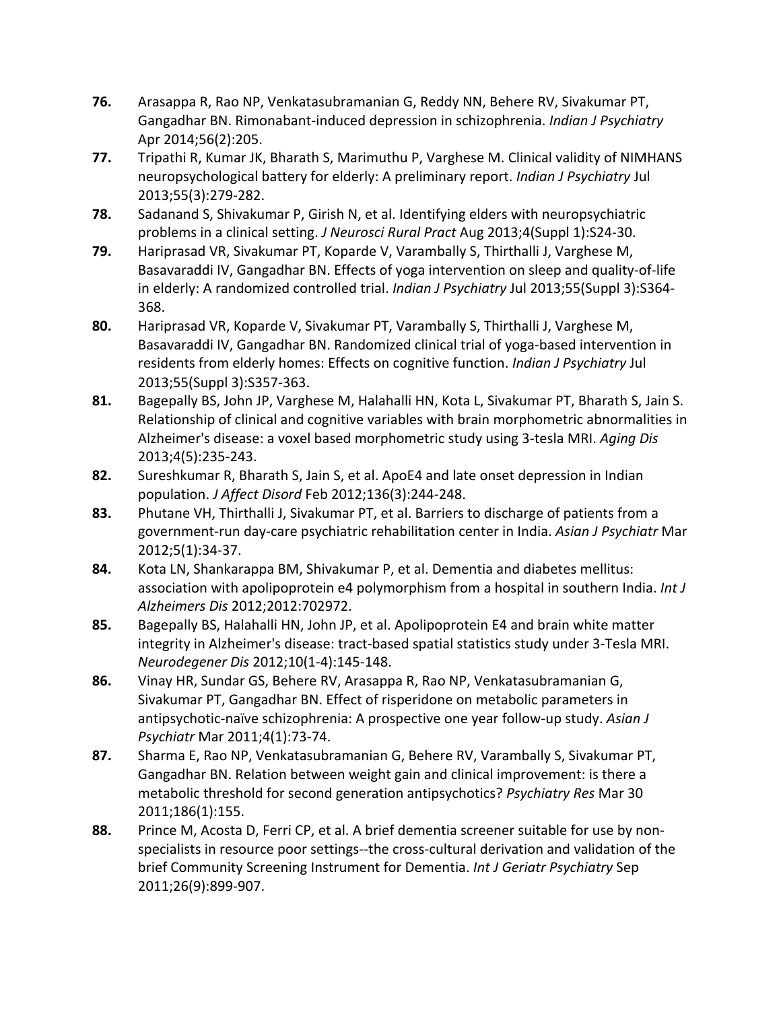- **76.** Arasappa R, Rao NP, Venkatasubramanian G, Reddy NN, Behere RV, Sivakumar PT, Gangadhar BN. Rimonabant-induced depression in schizophrenia. *Indian J Psychiatry*  Apr 2014;56(2):205.
- **77.** Tripathi R, Kumar JK, Bharath S, Marimuthu P, Varghese M. Clinical validity of NIMHANS neuropsychological battery for elderly: A preliminary report. *Indian J Psychiatry* Jul 2013;55(3):279-282.
- **78.** Sadanand S, Shivakumar P, Girish N, et al. Identifying elders with neuropsychiatric problems in a clinical setting. *J Neurosci Rural Pract* Aug 2013;4(Suppl 1):S24-30.
- **79.** Hariprasad VR, Sivakumar PT, Koparde V, Varambally S, Thirthalli J, Varghese M, Basavaraddi IV, Gangadhar BN. Effects of yoga intervention on sleep and quality-of-life in elderly: A randomized controlled trial. *Indian J Psychiatry* Jul 2013;55(Suppl 3):S364- 368.
- **80.** Hariprasad VR, Koparde V, Sivakumar PT, Varambally S, Thirthalli J, Varghese M, Basavaraddi IV, Gangadhar BN. Randomized clinical trial of yoga-based intervention in residents from elderly homes: Effects on cognitive function. *Indian J Psychiatry* Jul 2013;55(Suppl 3):S357-363.
- **81.** Bagepally BS, John JP, Varghese M, Halahalli HN, Kota L, Sivakumar PT, Bharath S, Jain S. Relationship of clinical and cognitive variables with brain morphometric abnormalities in Alzheimer's disease: a voxel based morphometric study using 3-tesla MRI. *Aging Dis*  2013;4(5):235-243.
- **82.** Sureshkumar R, Bharath S, Jain S, et al. ApoE4 and late onset depression in Indian population. *J Affect Disord* Feb 2012;136(3):244-248.
- **83.** Phutane VH, Thirthalli J, Sivakumar PT, et al. Barriers to discharge of patients from a government-run day-care psychiatric rehabilitation center in India. *Asian J Psychiatr* Mar 2012;5(1):34-37.
- **84.** Kota LN, Shankarappa BM, Shivakumar P, et al. Dementia and diabetes mellitus: association with apolipoprotein e4 polymorphism from a hospital in southern India. *Int J Alzheimers Dis* 2012;2012:702972.
- **85.** Bagepally BS, Halahalli HN, John JP, et al. Apolipoprotein E4 and brain white matter integrity in Alzheimer's disease: tract-based spatial statistics study under 3-Tesla MRI. *Neurodegener Dis* 2012;10(1-4):145-148.
- **86.** Vinay HR, Sundar GS, Behere RV, Arasappa R, Rao NP, Venkatasubramanian G, Sivakumar PT, Gangadhar BN. Effect of risperidone on metabolic parameters in antipsychotic-naïve schizophrenia: A prospective one year follow-up study. *Asian J Psychiatr* Mar 2011;4(1):73-74.
- **87.** Sharma E, Rao NP, Venkatasubramanian G, Behere RV, Varambally S, Sivakumar PT, Gangadhar BN. Relation between weight gain and clinical improvement: is there a metabolic threshold for second generation antipsychotics? *Psychiatry Res* Mar 30 2011;186(1):155.
- **88.** Prince M, Acosta D, Ferri CP, et al. A brief dementia screener suitable for use by nonspecialists in resource poor settings--the cross-cultural derivation and validation of the brief Community Screening Instrument for Dementia. *Int J Geriatr Psychiatry* Sep 2011;26(9):899-907.